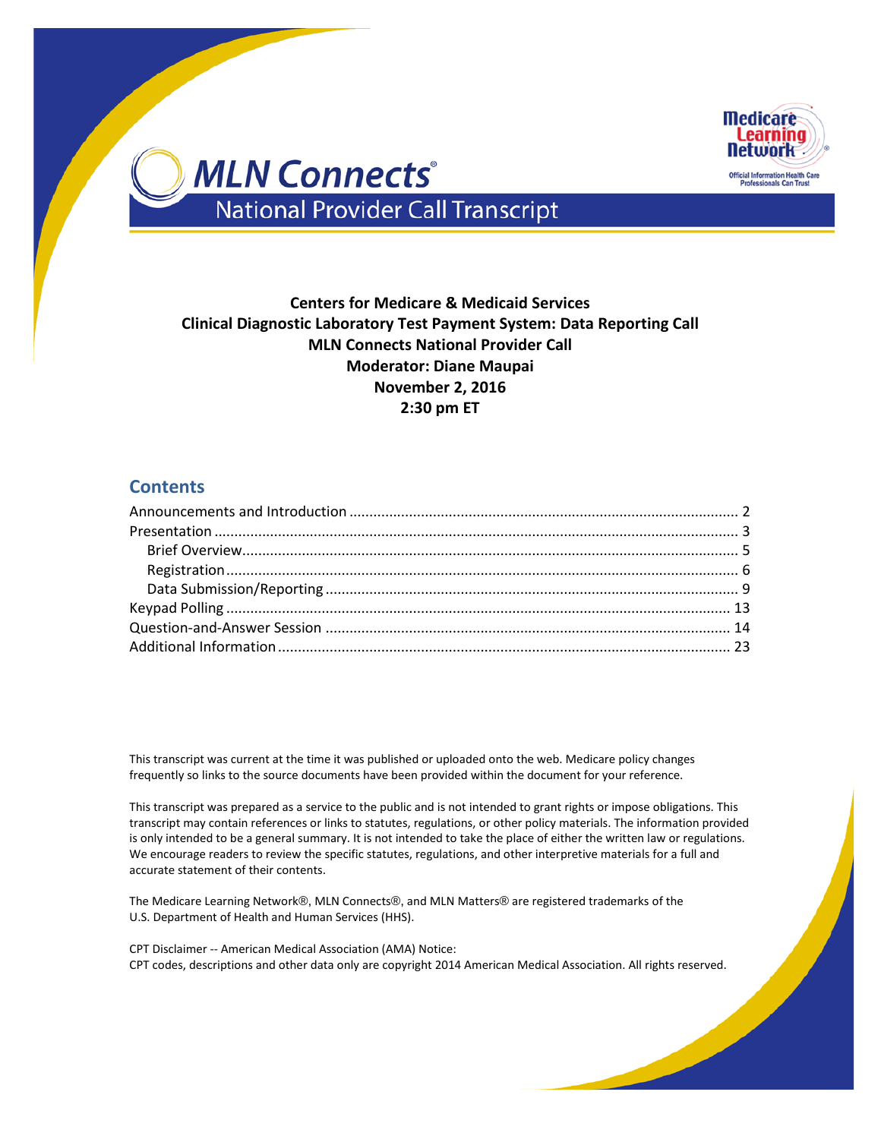

### **Centers for Medicare & Medicaid Services Clinical Diagnostic Laboratory Test Payment System: Data Reporting Call MLN Connects National Provider Call Moderator: Diane Maupai November 2, 2016 2:30 pm ET**

### **Contents**

This transcript was current at the time it was published or uploaded onto the web. Medicare policy changes frequently so links to the source documents have been provided within the document for your reference.

This transcript was prepared as a service to the public and is not intended to grant rights or impose obligations. This transcript may contain references or links to statutes, regulations, or other policy materials. The information provided is only intended to be a general summary. It is not intended to take the place of either the written law or regulations. We encourage readers to review the specific statutes, regulations, and other interpretive materials for a full and accurate statement of their contents.

The Medicare Learning Network®, MLN Connects®, and MLN Matters® are registered trademarks of the U.S. Department of Health and Human Services (HHS).

CPT Disclaimer -- American Medical Association (AMA) Notice: CPT codes, descriptions and other data only are copyright 2014 American Medical Association. All rights reserved.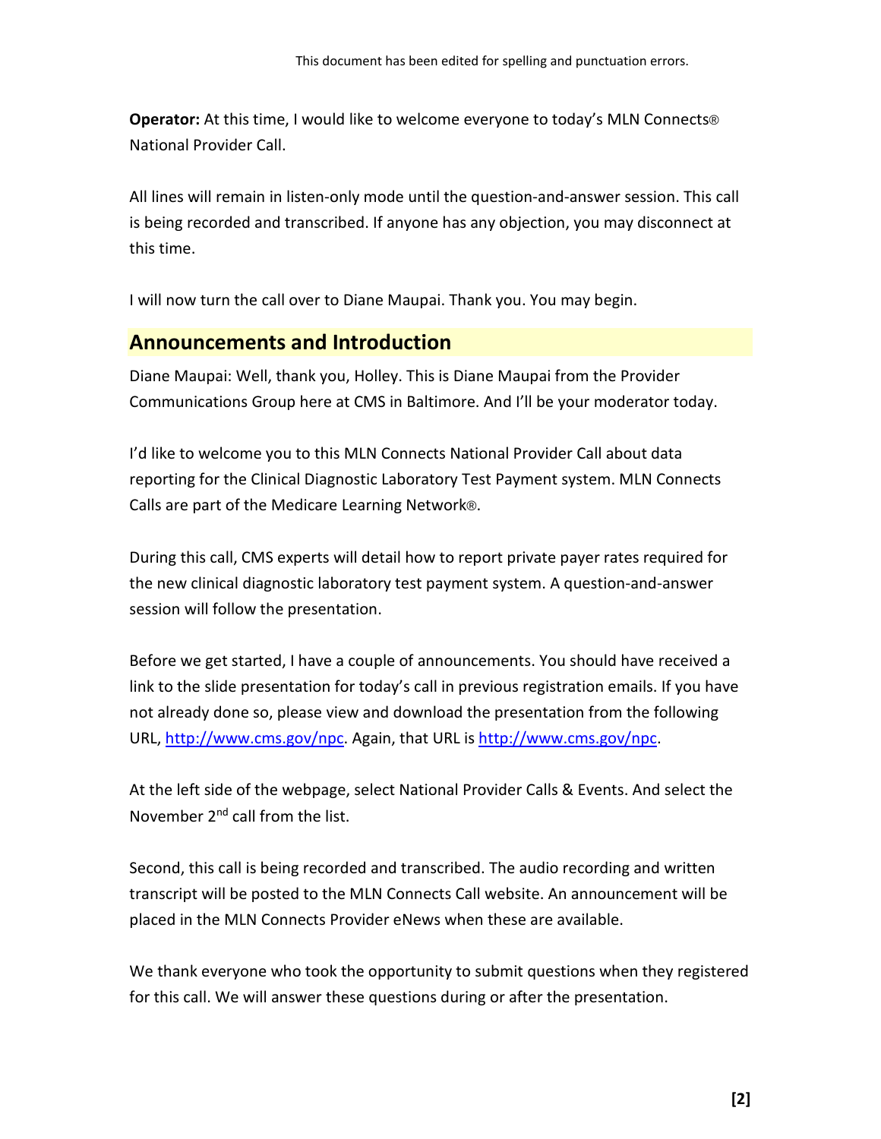**Operator:** At this time, I would like to welcome everyone to today's MLN Connects® National Provider Call.

All lines will remain in listen-only mode until the question-and-answer session. This call is being recorded and transcribed. If anyone has any objection, you may disconnect at this time.

<span id="page-1-0"></span>I will now turn the call over to Diane Maupai. Thank you. You may begin.

## **Announcements and Introduction**

Diane Maupai: Well, thank you, Holley. This is Diane Maupai from the Provider Communications Group here at CMS in Baltimore. And I'll be your moderator today.

I'd like to welcome you to this MLN Connects National Provider Call about data reporting for the Clinical Diagnostic Laboratory Test Payment system. MLN Connects Calls are part of the Medicare Learning Network®.

During this call, CMS experts will detail how to report private payer rates required for the new clinical diagnostic laboratory test payment system. A question-and-answer session will follow the presentation.

Before we get started, I have a couple of announcements. You should have received a link to the slide presentation for today's call in previous registration emails. If you have not already done so, please view and download the presentation from the following URL, [http://www.cms.gov/npc.](http://www.cms.gov/npc) Again, that URL i[s http://www.cms.gov/npc.](http://www.cms.gov/npc)

At the left side of the webpage, select National Provider Calls & Events. And select the November 2<sup>nd</sup> call from the list.

Second, this call is being recorded and transcribed. The audio recording and written transcript will be posted to the MLN Connects Call website. An announcement will be placed in the MLN Connects Provider eNews when these are available.

We thank everyone who took the opportunity to submit questions when they registered for this call. We will answer these questions during or after the presentation.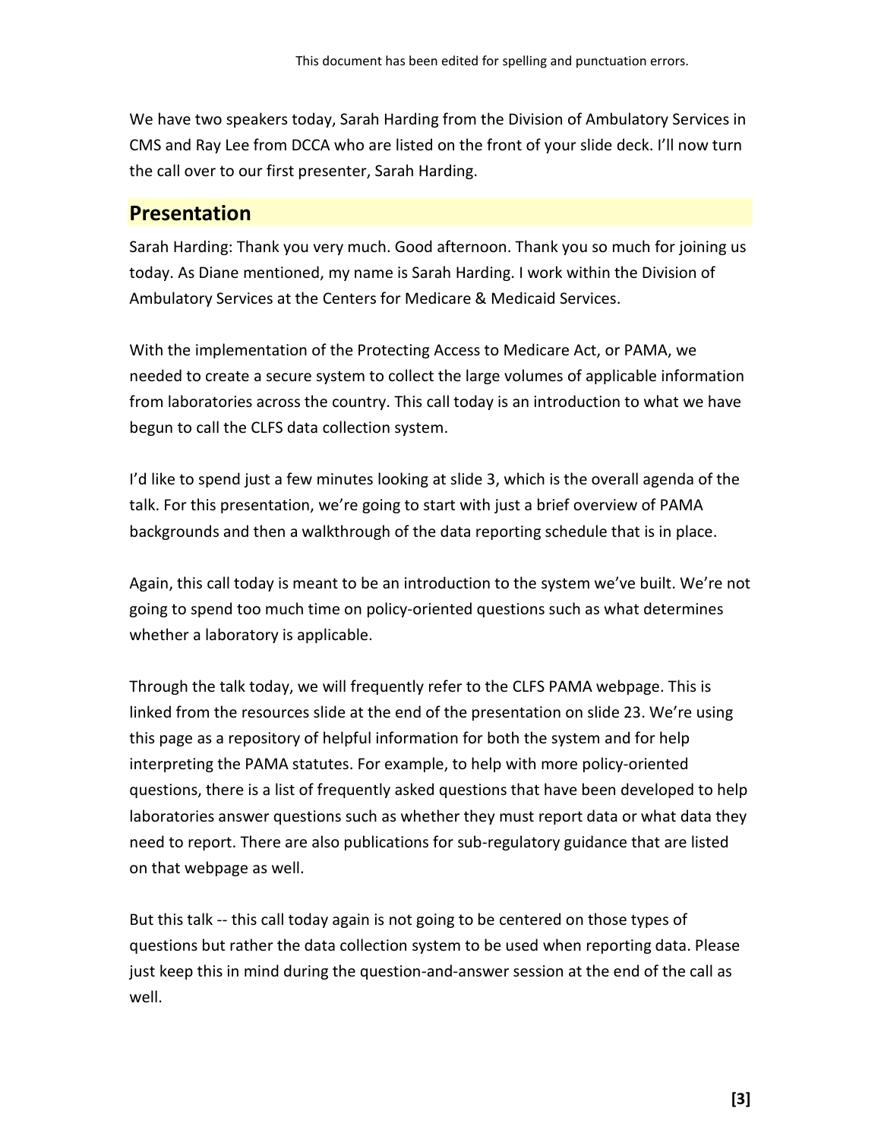We have two speakers today, Sarah Harding from the Division of Ambulatory Services in CMS and Ray Lee from DCCA who are listed on the front of your slide deck. I'll now turn the call over to our first presenter, Sarah Harding.

## <span id="page-2-0"></span>**Presentation**

Sarah Harding: Thank you very much. Good afternoon. Thank you so much for joining us today. As Diane mentioned, my name is Sarah Harding. I work within the Division of Ambulatory Services at the Centers for Medicare & Medicaid Services.

With the implementation of the Protecting Access to Medicare Act, or PAMA, we needed to create a secure system to collect the large volumes of applicable information from laboratories across the country. This call today is an introduction to what we have begun to call the CLFS data collection system.

I'd like to spend just a few minutes looking at slide 3, which is the overall agenda of the talk. For this presentation, we're going to start with just a brief overview of PAMA backgrounds and then a walkthrough of the data reporting schedule that is in place.

Again, this call today is meant to be an introduction to the system we've built. We're not going to spend too much time on policy-oriented questions such as what determines whether a laboratory is applicable.

Through the talk today, we will frequently refer to the CLFS PAMA webpage. This is linked from the resources slide at the end of the presentation on slide 23. We're using this page as a repository of helpful information for both the system and for help interpreting the PAMA statutes. For example, to help with more policy-oriented questions, there is a list of frequently asked questions that have been developed to help laboratories answer questions such as whether they must report data or what data they need to report. There are also publications for sub-regulatory guidance that are listed on that webpage as well.

But this talk -- this call today again is not going to be centered on those types of questions but rather the data collection system to be used when reporting data. Please just keep this in mind during the question-and-answer session at the end of the call as well.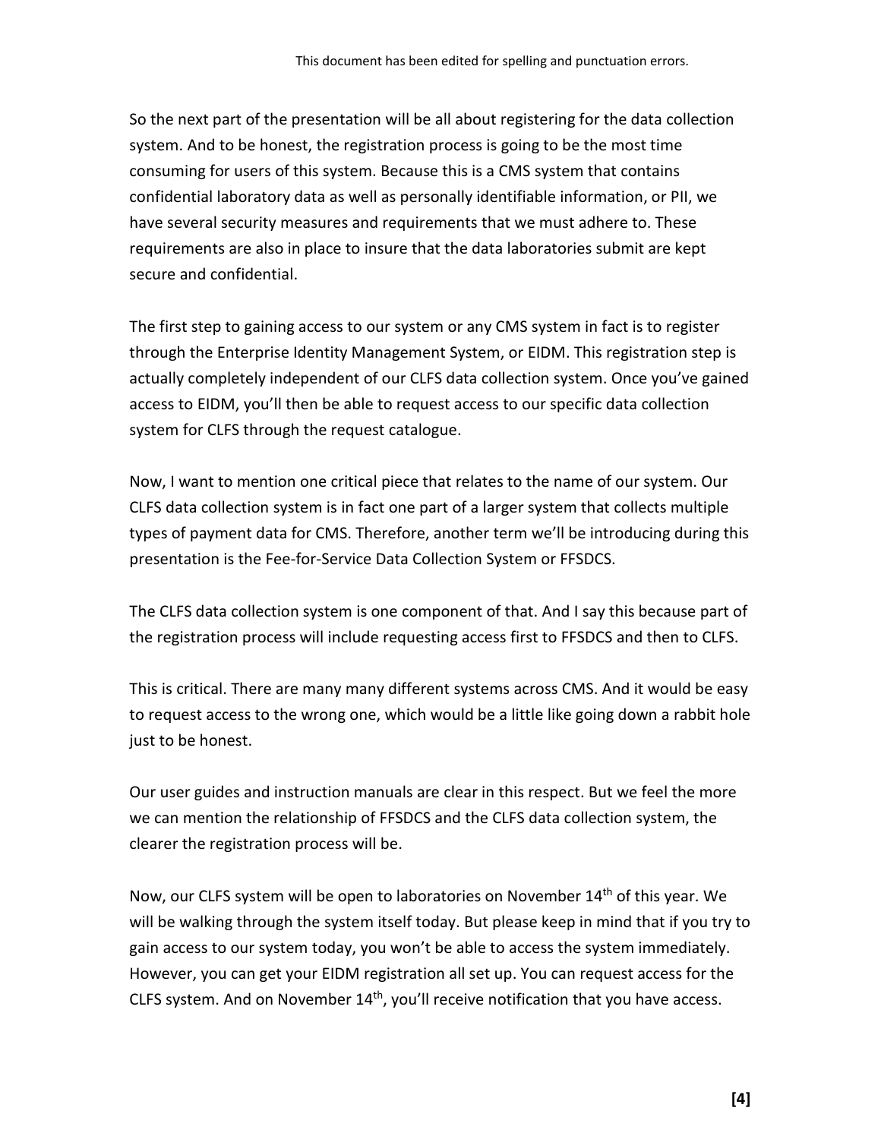So the next part of the presentation will be all about registering for the data collection system. And to be honest, the registration process is going to be the most time consuming for users of this system. Because this is a CMS system that contains confidential laboratory data as well as personally identifiable information, or PII, we have several security measures and requirements that we must adhere to. These requirements are also in place to insure that the data laboratories submit are kept secure and confidential.

The first step to gaining access to our system or any CMS system in fact is to register through the Enterprise Identity Management System, or EIDM. This registration step is actually completely independent of our CLFS data collection system. Once you've gained access to EIDM, you'll then be able to request access to our specific data collection system for CLFS through the request catalogue.

Now, I want to mention one critical piece that relates to the name of our system. Our CLFS data collection system is in fact one part of a larger system that collects multiple types of payment data for CMS. Therefore, another term we'll be introducing during this presentation is the Fee-for-Service Data Collection System or FFSDCS.

The CLFS data collection system is one component of that. And I say this because part of the registration process will include requesting access first to FFSDCS and then to CLFS.

This is critical. There are many many different systems across CMS. And it would be easy to request access to the wrong one, which would be a little like going down a rabbit hole just to be honest.

Our user guides and instruction manuals are clear in this respect. But we feel the more we can mention the relationship of FFSDCS and the CLFS data collection system, the clearer the registration process will be.

Now, our CLFS system will be open to laboratories on November 14th of this year. We will be walking through the system itself today. But please keep in mind that if you try to gain access to our system today, you won't be able to access the system immediately. However, you can get your EIDM registration all set up. You can request access for the CLFS system. And on November  $14<sup>th</sup>$ , you'll receive notification that you have access.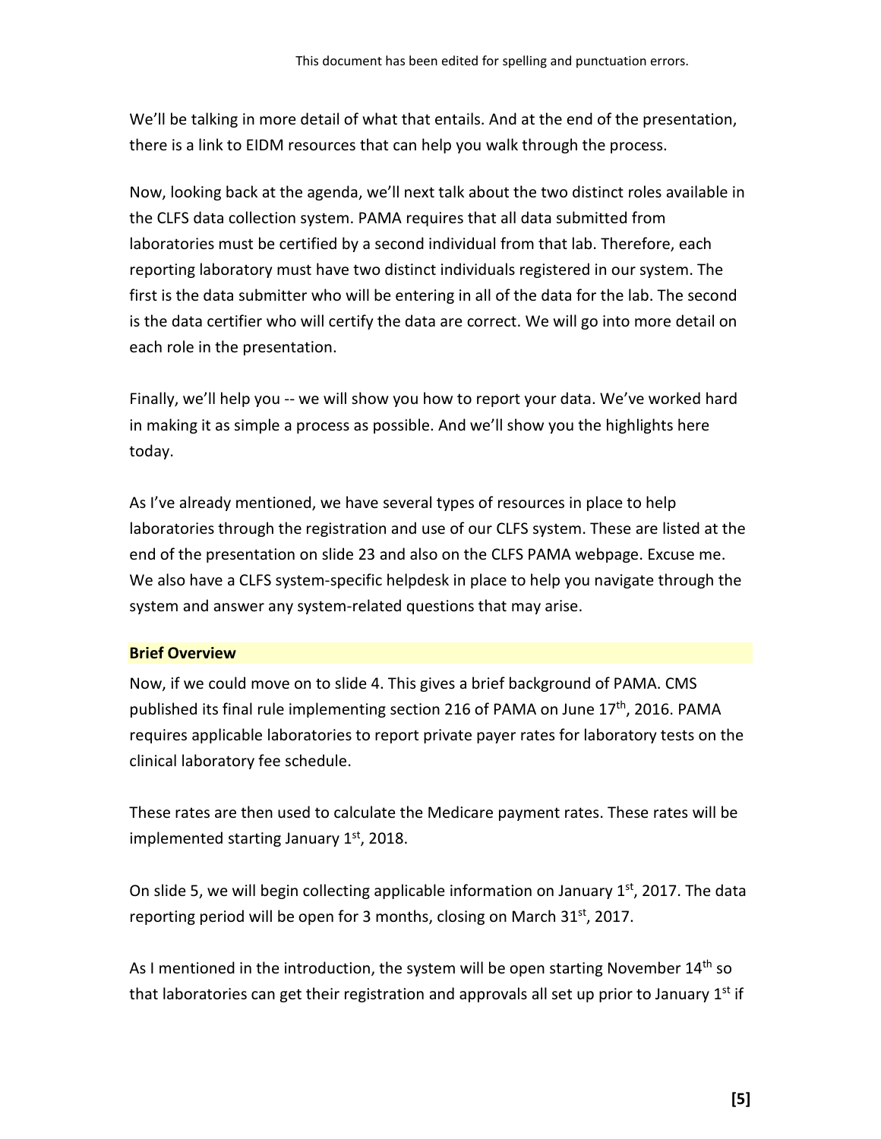We'll be talking in more detail of what that entails. And at the end of the presentation, there is a link to EIDM resources that can help you walk through the process.

Now, looking back at the agenda, we'll next talk about the two distinct roles available in the CLFS data collection system. PAMA requires that all data submitted from laboratories must be certified by a second individual from that lab. Therefore, each reporting laboratory must have two distinct individuals registered in our system. The first is the data submitter who will be entering in all of the data for the lab. The second is the data certifier who will certify the data are correct. We will go into more detail on each role in the presentation.

Finally, we'll help you -- we will show you how to report your data. We've worked hard in making it as simple a process as possible. And we'll show you the highlights here today.

As I've already mentioned, we have several types of resources in place to help laboratories through the registration and use of our CLFS system. These are listed at the end of the presentation on slide 23 and also on the CLFS PAMA webpage. Excuse me. We also have a CLFS system-specific helpdesk in place to help you navigate through the system and answer any system-related questions that may arise.

#### <span id="page-4-0"></span>**Brief Overview**

Now, if we could move on to slide 4. This gives a brief background of PAMA. CMS published its final rule implementing section 216 of PAMA on June 17<sup>th</sup>, 2016. PAMA requires applicable laboratories to report private payer rates for laboratory tests on the clinical laboratory fee schedule.

These rates are then used to calculate the Medicare payment rates. These rates will be implemented starting January 1st, 2018.

On slide 5, we will begin collecting applicable information on January  $1<sup>st</sup>$ , 2017. The data reporting period will be open for 3 months, closing on March  $31<sup>st</sup>$ , 2017.

As I mentioned in the introduction, the system will be open starting November  $14<sup>th</sup>$  so that laboratories can get their registration and approvals all set up prior to January  $1<sup>st</sup>$  if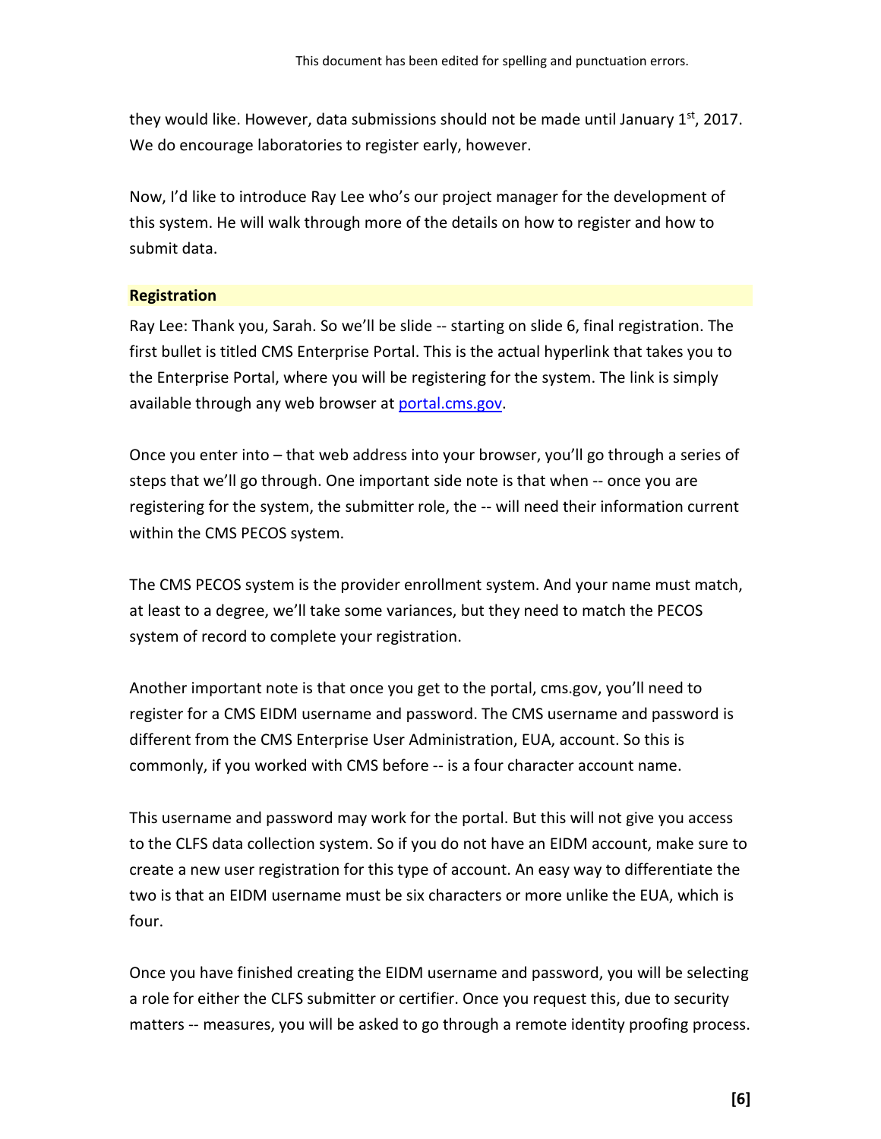they would like. However, data submissions should not be made until January  $1<sup>st</sup>$ , 2017. We do encourage laboratories to register early, however.

Now, I'd like to introduce Ray Lee who's our project manager for the development of this system. He will walk through more of the details on how to register and how to submit data.

#### <span id="page-5-0"></span>**Registration**

Ray Lee: Thank you, Sarah. So we'll be slide -- starting on slide 6, final registration. The first bullet is titled CMS Enterprise Portal. This is the actual hyperlink that takes you to the Enterprise Portal, where you will be registering for the system. The link is simply available through any web browser at [portal.cms.gov.](http://portal.cms.gov/)

Once you enter into – that web address into your browser, you'll go through a series of steps that we'll go through. One important side note is that when -- once you are registering for the system, the submitter role, the -- will need their information current within the CMS PECOS system.

The CMS PECOS system is the provider enrollment system. And your name must match, at least to a degree, we'll take some variances, but they need to match the PECOS system of record to complete your registration.

Another important note is that once you get to the portal, cms.gov, you'll need to register for a CMS EIDM username and password. The CMS username and password is different from the CMS Enterprise User Administration, EUA, account. So this is commonly, if you worked with CMS before -- is a four character account name.

This username and password may work for the portal. But this will not give you access to the CLFS data collection system. So if you do not have an EIDM account, make sure to create a new user registration for this type of account. An easy way to differentiate the two is that an EIDM username must be six characters or more unlike the EUA, which is four.

Once you have finished creating the EIDM username and password, you will be selecting a role for either the CLFS submitter or certifier. Once you request this, due to security matters -- measures, you will be asked to go through a remote identity proofing process.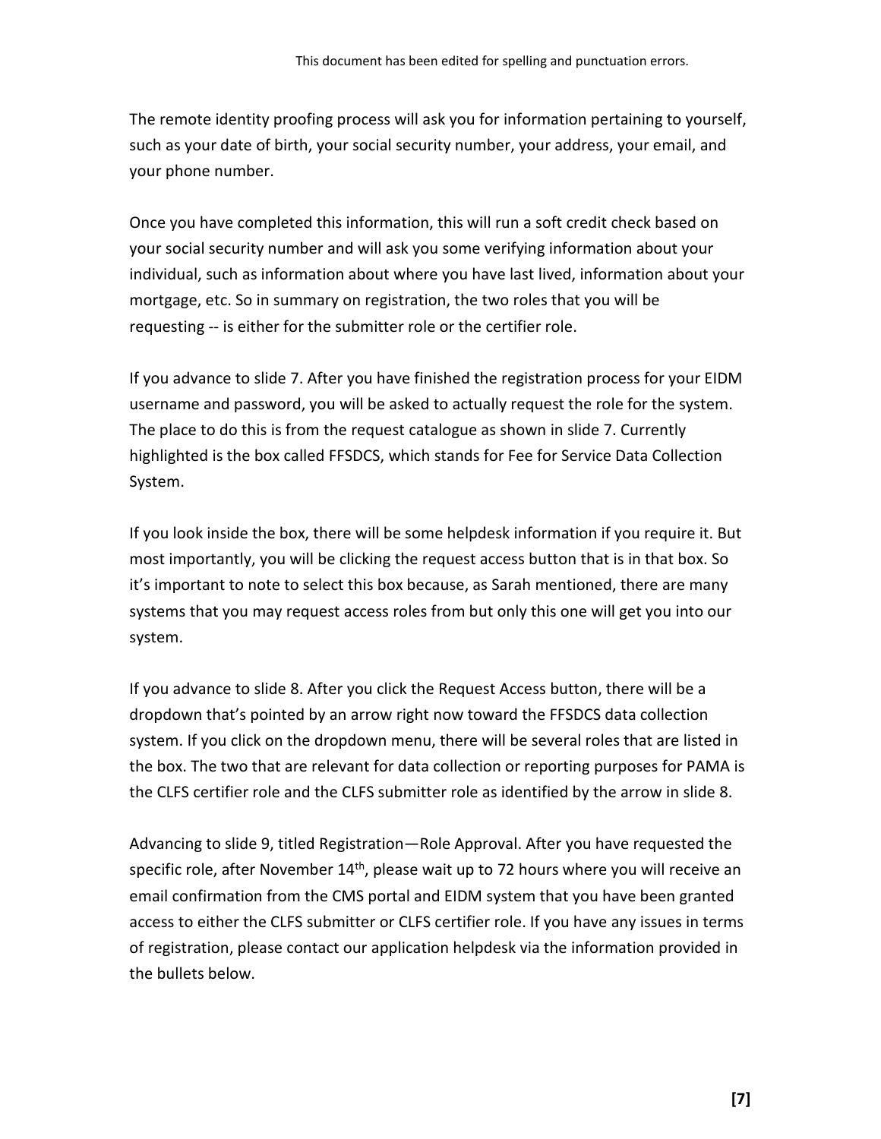The remote identity proofing process will ask you for information pertaining to yourself, such as your date of birth, your social security number, your address, your email, and your phone number.

Once you have completed this information, this will run a soft credit check based on your social security number and will ask you some verifying information about your individual, such as information about where you have last lived, information about your mortgage, etc. So in summary on registration, the two roles that you will be requesting -- is either for the submitter role or the certifier role.

If you advance to slide 7. After you have finished the registration process for your EIDM username and password, you will be asked to actually request the role for the system. The place to do this is from the request catalogue as shown in slide 7. Currently highlighted is the box called FFSDCS, which stands for Fee for Service Data Collection System.

If you look inside the box, there will be some helpdesk information if you require it. But most importantly, you will be clicking the request access button that is in that box. So it's important to note to select this box because, as Sarah mentioned, there are many systems that you may request access roles from but only this one will get you into our system.

If you advance to slide 8. After you click the Request Access button, there will be a dropdown that's pointed by an arrow right now toward the FFSDCS data collection system. If you click on the dropdown menu, there will be several roles that are listed in the box. The two that are relevant for data collection or reporting purposes for PAMA is the CLFS certifier role and the CLFS submitter role as identified by the arrow in slide 8.

Advancing to slide 9, titled Registration—Role Approval. After you have requested the specific role, after November 14<sup>th</sup>, please wait up to 72 hours where you will receive an email confirmation from the CMS portal and EIDM system that you have been granted access to either the CLFS submitter or CLFS certifier role. If you have any issues in terms of registration, please contact our application helpdesk via the information provided in the bullets below.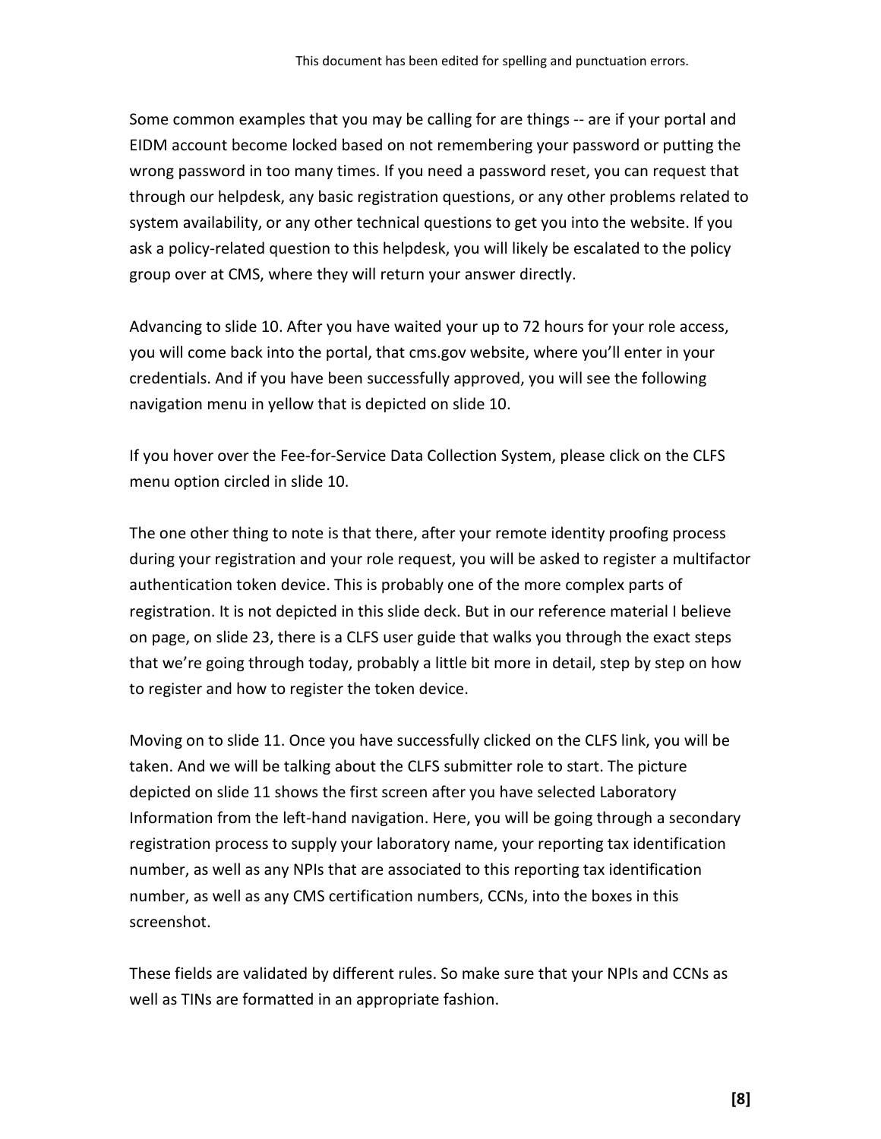Some common examples that you may be calling for are things -- are if your portal and EIDM account become locked based on not remembering your password or putting the wrong password in too many times. If you need a password reset, you can request that through our helpdesk, any basic registration questions, or any other problems related to system availability, or any other technical questions to get you into the website. If you ask a policy-related question to this helpdesk, you will likely be escalated to the policy group over at CMS, where they will return your answer directly.

Advancing to slide 10. After you have waited your up to 72 hours for your role access, you will come back into the portal, that cms.gov website, where you'll enter in your credentials. And if you have been successfully approved, you will see the following navigation menu in yellow that is depicted on slide 10.

If you hover over the Fee-for-Service Data Collection System, please click on the CLFS menu option circled in slide 10.

The one other thing to note is that there, after your remote identity proofing process during your registration and your role request, you will be asked to register a multifactor authentication token device. This is probably one of the more complex parts of registration. It is not depicted in this slide deck. But in our reference material I believe on page, on slide 23, there is a CLFS user guide that walks you through the exact steps that we're going through today, probably a little bit more in detail, step by step on how to register and how to register the token device.

Moving on to slide 11. Once you have successfully clicked on the CLFS link, you will be taken. And we will be talking about the CLFS submitter role to start. The picture depicted on slide 11 shows the first screen after you have selected Laboratory Information from the left-hand navigation. Here, you will be going through a secondary registration process to supply your laboratory name, your reporting tax identification number, as well as any NPIs that are associated to this reporting tax identification number, as well as any CMS certification numbers, CCNs, into the boxes in this screenshot.

These fields are validated by different rules. So make sure that your NPIs and CCNs as well as TINs are formatted in an appropriate fashion.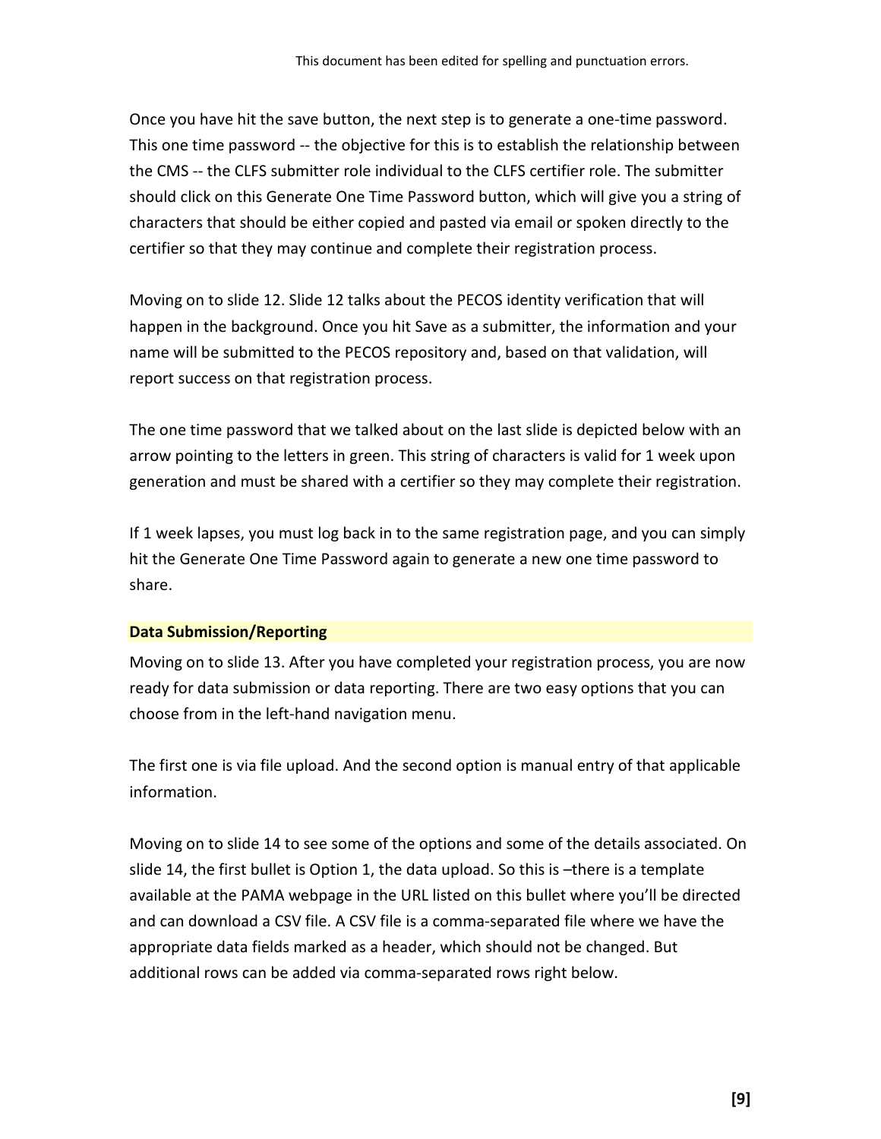Once you have hit the save button, the next step is to generate a one-time password. This one time password -- the objective for this is to establish the relationship between the CMS -- the CLFS submitter role individual to the CLFS certifier role. The submitter should click on this Generate One Time Password button, which will give you a string of characters that should be either copied and pasted via email or spoken directly to the certifier so that they may continue and complete their registration process.

Moving on to slide 12. Slide 12 talks about the PECOS identity verification that will happen in the background. Once you hit Save as a submitter, the information and your name will be submitted to the PECOS repository and, based on that validation, will report success on that registration process.

The one time password that we talked about on the last slide is depicted below with an arrow pointing to the letters in green. This string of characters is valid for 1 week upon generation and must be shared with a certifier so they may complete their registration.

If 1 week lapses, you must log back in to the same registration page, and you can simply hit the Generate One Time Password again to generate a new one time password to share.

#### <span id="page-8-0"></span>**Data Submission/Reporting**

Moving on to slide 13. After you have completed your registration process, you are now ready for data submission or data reporting. There are two easy options that you can choose from in the left-hand navigation menu.

The first one is via file upload. And the second option is manual entry of that applicable information.

Moving on to slide 14 to see some of the options and some of the details associated. On slide 14, the first bullet is Option 1, the data upload. So this is –there is a template available at the PAMA webpage in the URL listed on this bullet where you'll be directed and can download a CSV file. A CSV file is a comma-separated file where we have the appropriate data fields marked as a header, which should not be changed. But additional rows can be added via comma-separated rows right below.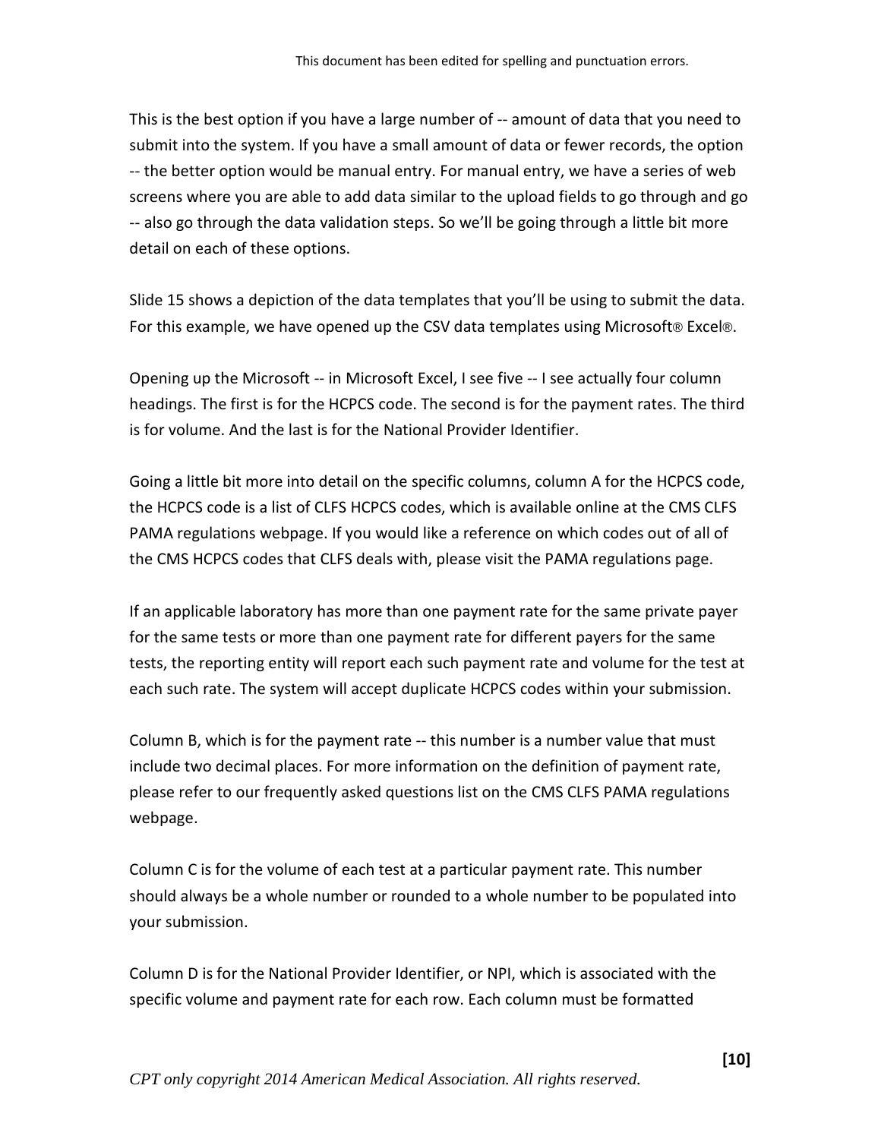This is the best option if you have a large number of -- amount of data that you need to submit into the system. If you have a small amount of data or fewer records, the option -- the better option would be manual entry. For manual entry, we have a series of web screens where you are able to add data similar to the upload fields to go through and go -- also go through the data validation steps. So we'll be going through a little bit more detail on each of these options.

Slide 15 shows a depiction of the data templates that you'll be using to submit the data. For this example, we have opened up the CSV data templates using Microsoft® Excel®.

Opening up the Microsoft -- in Microsoft Excel, I see five -- I see actually four column headings. The first is for the HCPCS code. The second is for the payment rates. The third is for volume. And the last is for the National Provider Identifier.

Going a little bit more into detail on the specific columns, column A for the HCPCS code, the HCPCS code is a list of CLFS HCPCS codes, which is available online at the CMS CLFS PAMA regulations webpage. If you would like a reference on which codes out of all of the CMS HCPCS codes that CLFS deals with, please visit the PAMA regulations page.

If an applicable laboratory has more than one payment rate for the same private payer for the same tests or more than one payment rate for different payers for the same tests, the reporting entity will report each such payment rate and volume for the test at each such rate. The system will accept duplicate HCPCS codes within your submission.

Column B, which is for the payment rate -- this number is a number value that must include two decimal places. For more information on the definition of payment rate, please refer to our frequently asked questions list on the CMS CLFS PAMA regulations webpage.

Column C is for the volume of each test at a particular payment rate. This number should always be a whole number or rounded to a whole number to be populated into your submission.

Column D is for the National Provider Identifier, or NPI, which is associated with the specific volume and payment rate for each row. Each column must be formatted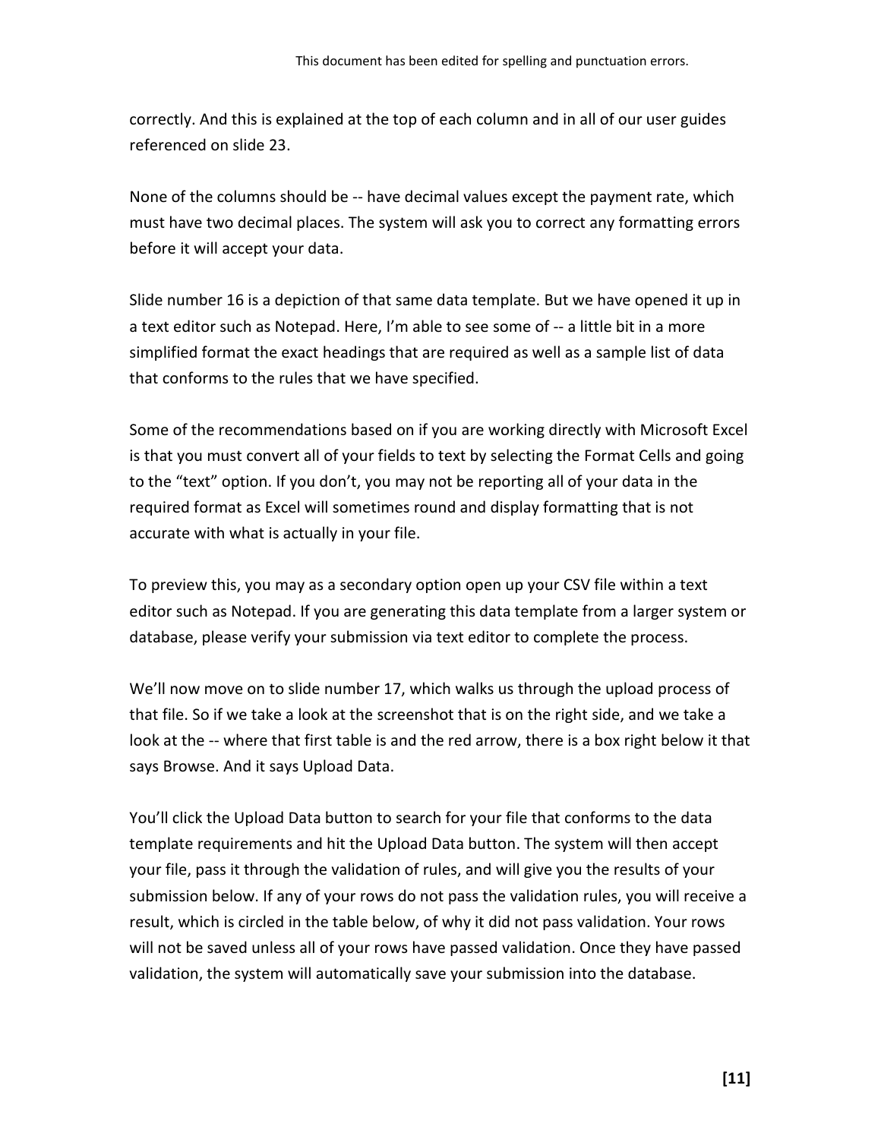correctly. And this is explained at the top of each column and in all of our user guides referenced on slide 23.

None of the columns should be -- have decimal values except the payment rate, which must have two decimal places. The system will ask you to correct any formatting errors before it will accept your data.

Slide number 16 is a depiction of that same data template. But we have opened it up in a text editor such as Notepad. Here, I'm able to see some of -- a little bit in a more simplified format the exact headings that are required as well as a sample list of data that conforms to the rules that we have specified.

Some of the recommendations based on if you are working directly with Microsoft Excel is that you must convert all of your fields to text by selecting the Format Cells and going to the "text" option. If you don't, you may not be reporting all of your data in the required format as Excel will sometimes round and display formatting that is not accurate with what is actually in your file.

To preview this, you may as a secondary option open up your CSV file within a text editor such as Notepad. If you are generating this data template from a larger system or database, please verify your submission via text editor to complete the process.

We'll now move on to slide number 17, which walks us through the upload process of that file. So if we take a look at the screenshot that is on the right side, and we take a look at the -- where that first table is and the red arrow, there is a box right below it that says Browse. And it says Upload Data.

You'll click the Upload Data button to search for your file that conforms to the data template requirements and hit the Upload Data button. The system will then accept your file, pass it through the validation of rules, and will give you the results of your submission below. If any of your rows do not pass the validation rules, you will receive a result, which is circled in the table below, of why it did not pass validation. Your rows will not be saved unless all of your rows have passed validation. Once they have passed validation, the system will automatically save your submission into the database.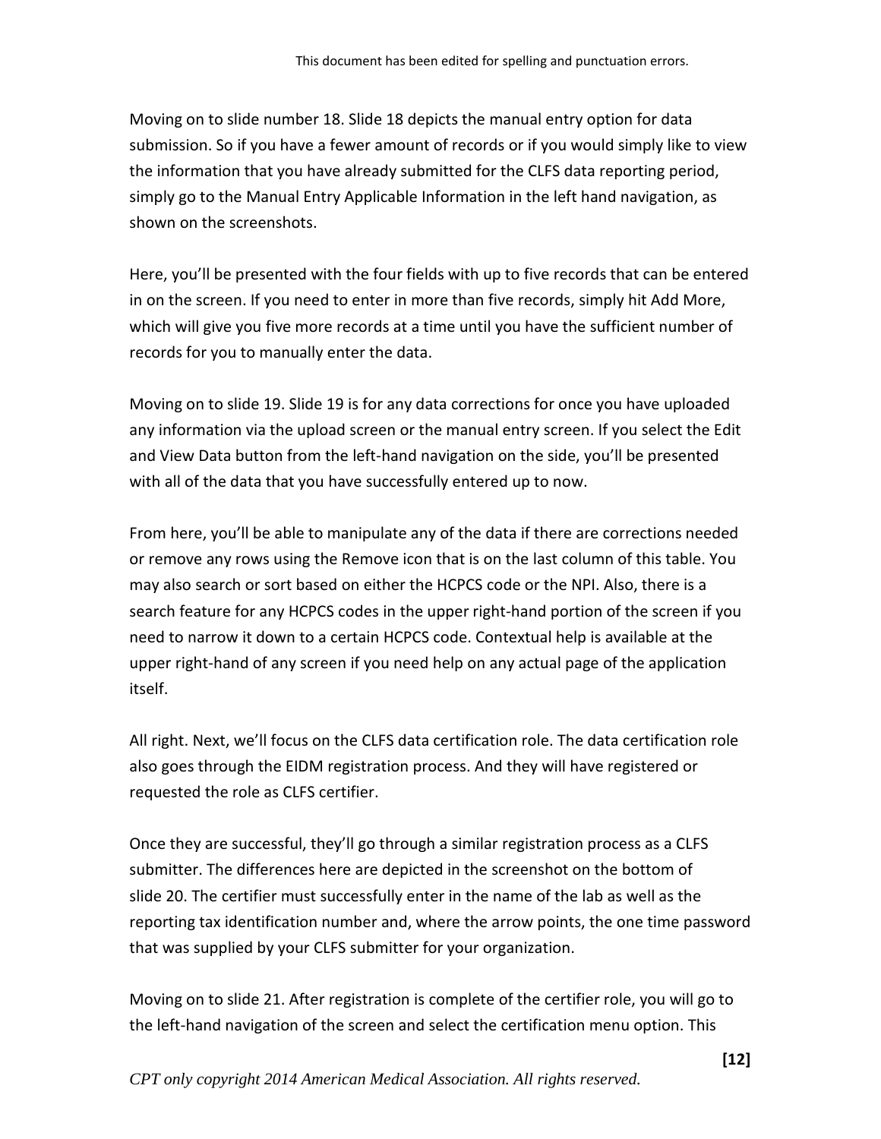Moving on to slide number 18. Slide 18 depicts the manual entry option for data submission. So if you have a fewer amount of records or if you would simply like to view the information that you have already submitted for the CLFS data reporting period, simply go to the Manual Entry Applicable Information in the left hand navigation, as shown on the screenshots.

Here, you'll be presented with the four fields with up to five records that can be entered in on the screen. If you need to enter in more than five records, simply hit Add More, which will give you five more records at a time until you have the sufficient number of records for you to manually enter the data.

Moving on to slide 19. Slide 19 is for any data corrections for once you have uploaded any information via the upload screen or the manual entry screen. If you select the Edit and View Data button from the left-hand navigation on the side, you'll be presented with all of the data that you have successfully entered up to now.

From here, you'll be able to manipulate any of the data if there are corrections needed or remove any rows using the Remove icon that is on the last column of this table. You may also search or sort based on either the HCPCS code or the NPI. Also, there is a search feature for any HCPCS codes in the upper right-hand portion of the screen if you need to narrow it down to a certain HCPCS code. Contextual help is available at the upper right-hand of any screen if you need help on any actual page of the application itself.

All right. Next, we'll focus on the CLFS data certification role. The data certification role also goes through the EIDM registration process. And they will have registered or requested the role as CLFS certifier.

Once they are successful, they'll go through a similar registration process as a CLFS submitter. The differences here are depicted in the screenshot on the bottom of slide 20. The certifier must successfully enter in the name of the lab as well as the reporting tax identification number and, where the arrow points, the one time password that was supplied by your CLFS submitter for your organization.

Moving on to slide 21. After registration is complete of the certifier role, you will go to the left-hand navigation of the screen and select the certification menu option. This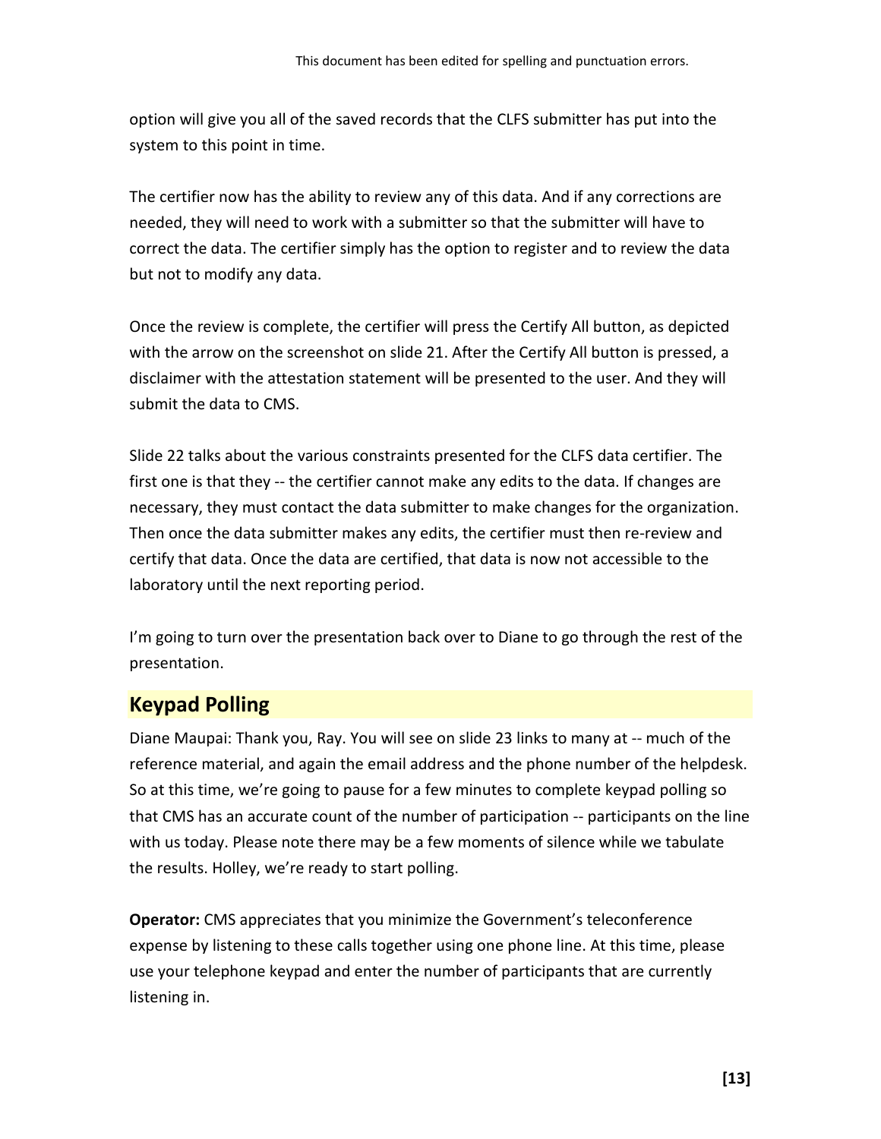option will give you all of the saved records that the CLFS submitter has put into the system to this point in time.

The certifier now has the ability to review any of this data. And if any corrections are needed, they will need to work with a submitter so that the submitter will have to correct the data. The certifier simply has the option to register and to review the data but not to modify any data.

Once the review is complete, the certifier will press the Certify All button, as depicted with the arrow on the screenshot on slide 21. After the Certify All button is pressed, a disclaimer with the attestation statement will be presented to the user. And they will submit the data to CMS.

Slide 22 talks about the various constraints presented for the CLFS data certifier. The first one is that they -- the certifier cannot make any edits to the data. If changes are necessary, they must contact the data submitter to make changes for the organization. Then once the data submitter makes any edits, the certifier must then re-review and certify that data. Once the data are certified, that data is now not accessible to the laboratory until the next reporting period.

I'm going to turn over the presentation back over to Diane to go through the rest of the presentation.

# <span id="page-12-0"></span>**Keypad Polling**

Diane Maupai: Thank you, Ray. You will see on slide 23 links to many at -- much of the reference material, and again the email address and the phone number of the helpdesk. So at this time, we're going to pause for a few minutes to complete keypad polling so that CMS has an accurate count of the number of participation -- participants on the line with us today. Please note there may be a few moments of silence while we tabulate the results. Holley, we're ready to start polling.

**Operator:** CMS appreciates that you minimize the Government's teleconference expense by listening to these calls together using one phone line. At this time, please use your telephone keypad and enter the number of participants that are currently listening in.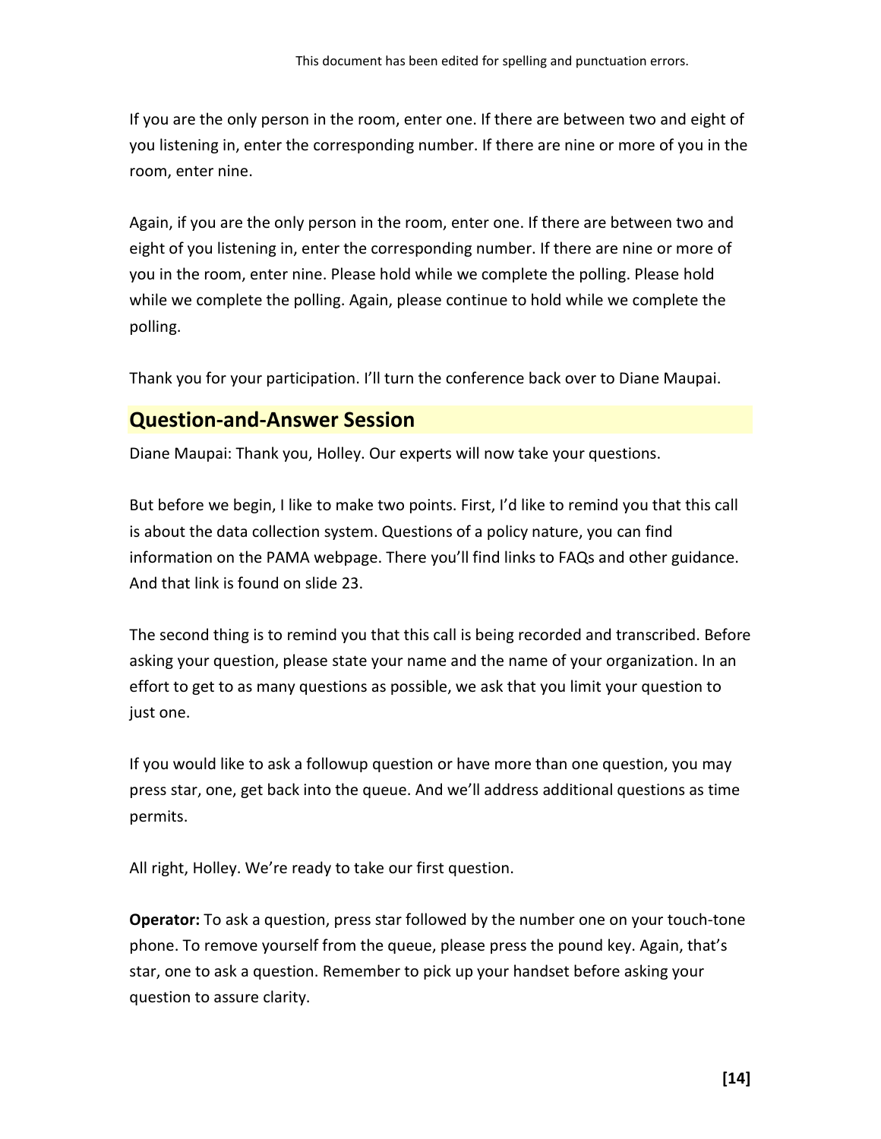If you are the only person in the room, enter one. If there are between two and eight of you listening in, enter the corresponding number. If there are nine or more of you in the room, enter nine.

Again, if you are the only person in the room, enter one. If there are between two and eight of you listening in, enter the corresponding number. If there are nine or more of you in the room, enter nine. Please hold while we complete the polling. Please hold while we complete the polling. Again, please continue to hold while we complete the polling.

<span id="page-13-0"></span>Thank you for your participation. I'll turn the conference back over to Diane Maupai.

# **Question-and-Answer Session**

Diane Maupai: Thank you, Holley. Our experts will now take your questions.

But before we begin, I like to make two points. First, I'd like to remind you that this call is about the data collection system. Questions of a policy nature, you can find information on the PAMA webpage. There you'll find links to FAQs and other guidance. And that link is found on slide 23.

The second thing is to remind you that this call is being recorded and transcribed. Before asking your question, please state your name and the name of your organization. In an effort to get to as many questions as possible, we ask that you limit your question to just one.

If you would like to ask a followup question or have more than one question, you may press star, one, get back into the queue. And we'll address additional questions as time permits.

All right, Holley. We're ready to take our first question.

**Operator:** To ask a question, press star followed by the number one on your touch-tone phone. To remove yourself from the queue, please press the pound key. Again, that's star, one to ask a question. Remember to pick up your handset before asking your question to assure clarity.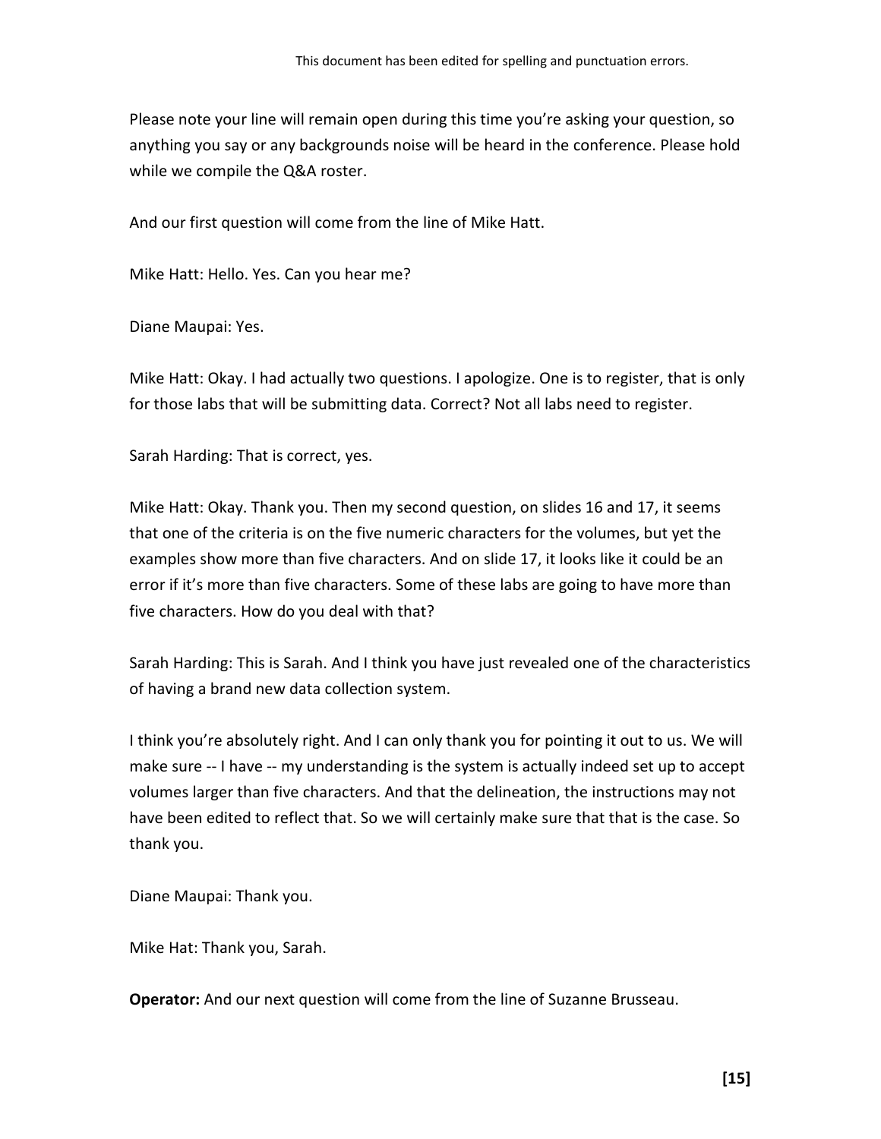Please note your line will remain open during this time you're asking your question, so anything you say or any backgrounds noise will be heard in the conference. Please hold while we compile the Q&A roster.

And our first question will come from the line of Mike Hatt.

Mike Hatt: Hello. Yes. Can you hear me?

Diane Maupai: Yes.

Mike Hatt: Okay. I had actually two questions. I apologize. One is to register, that is only for those labs that will be submitting data. Correct? Not all labs need to register.

Sarah Harding: That is correct, yes.

Mike Hatt: Okay. Thank you. Then my second question, on slides 16 and 17, it seems that one of the criteria is on the five numeric characters for the volumes, but yet the examples show more than five characters. And on slide 17, it looks like it could be an error if it's more than five characters. Some of these labs are going to have more than five characters. How do you deal with that?

Sarah Harding: This is Sarah. And I think you have just revealed one of the characteristics of having a brand new data collection system.

I think you're absolutely right. And I can only thank you for pointing it out to us. We will make sure -- I have -- my understanding is the system is actually indeed set up to accept volumes larger than five characters. And that the delineation, the instructions may not have been edited to reflect that. So we will certainly make sure that that is the case. So thank you.

Diane Maupai: Thank you.

Mike Hat: Thank you, Sarah.

**Operator:** And our next question will come from the line of Suzanne Brusseau.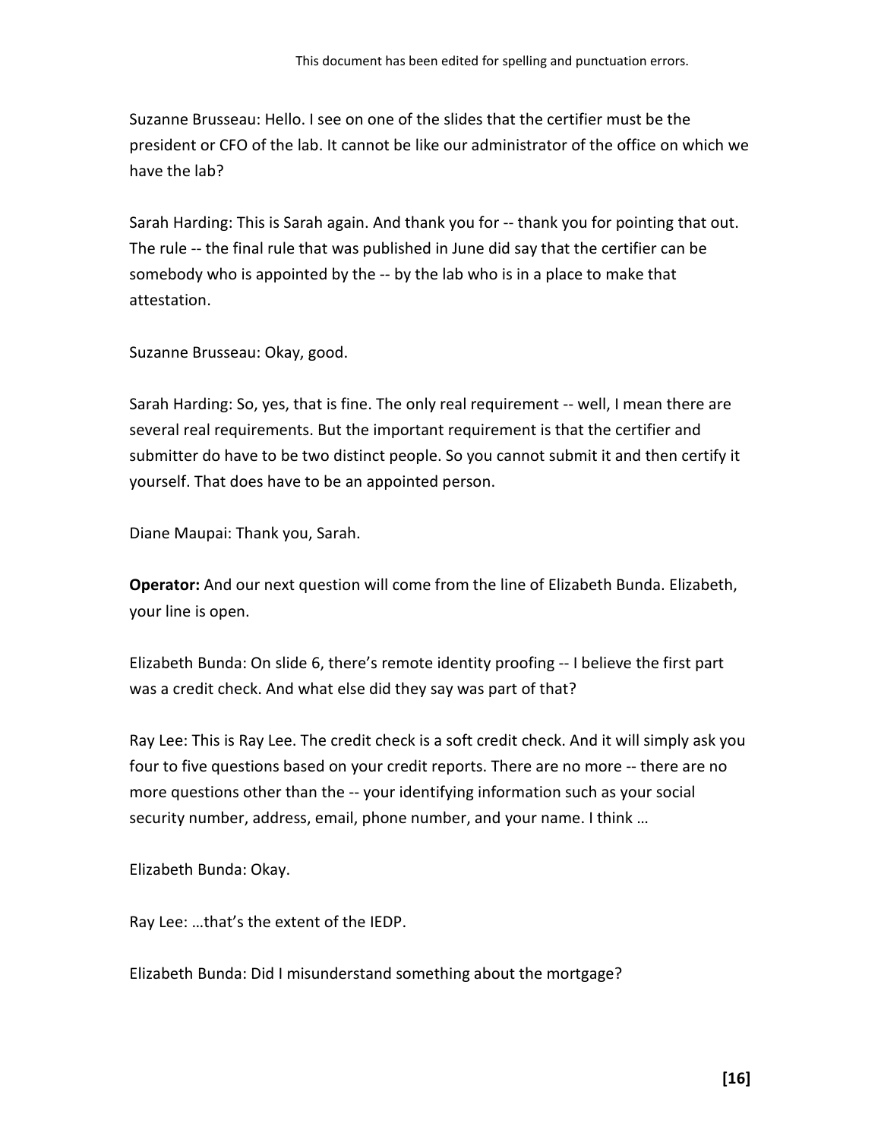Suzanne Brusseau: Hello. I see on one of the slides that the certifier must be the president or CFO of the lab. It cannot be like our administrator of the office on which we have the lab?

Sarah Harding: This is Sarah again. And thank you for -- thank you for pointing that out. The rule -- the final rule that was published in June did say that the certifier can be somebody who is appointed by the -- by the lab who is in a place to make that attestation.

Suzanne Brusseau: Okay, good.

Sarah Harding: So, yes, that is fine. The only real requirement -- well, I mean there are several real requirements. But the important requirement is that the certifier and submitter do have to be two distinct people. So you cannot submit it and then certify it yourself. That does have to be an appointed person.

Diane Maupai: Thank you, Sarah.

**Operator:** And our next question will come from the line of Elizabeth Bunda. Elizabeth, your line is open.

Elizabeth Bunda: On slide 6, there's remote identity proofing -- I believe the first part was a credit check. And what else did they say was part of that?

Ray Lee: This is Ray Lee. The credit check is a soft credit check. And it will simply ask you four to five questions based on your credit reports. There are no more -- there are no more questions other than the -- your identifying information such as your social security number, address, email, phone number, and your name. I think …

Elizabeth Bunda: Okay.

Ray Lee: …that's the extent of the IEDP.

Elizabeth Bunda: Did I misunderstand something about the mortgage?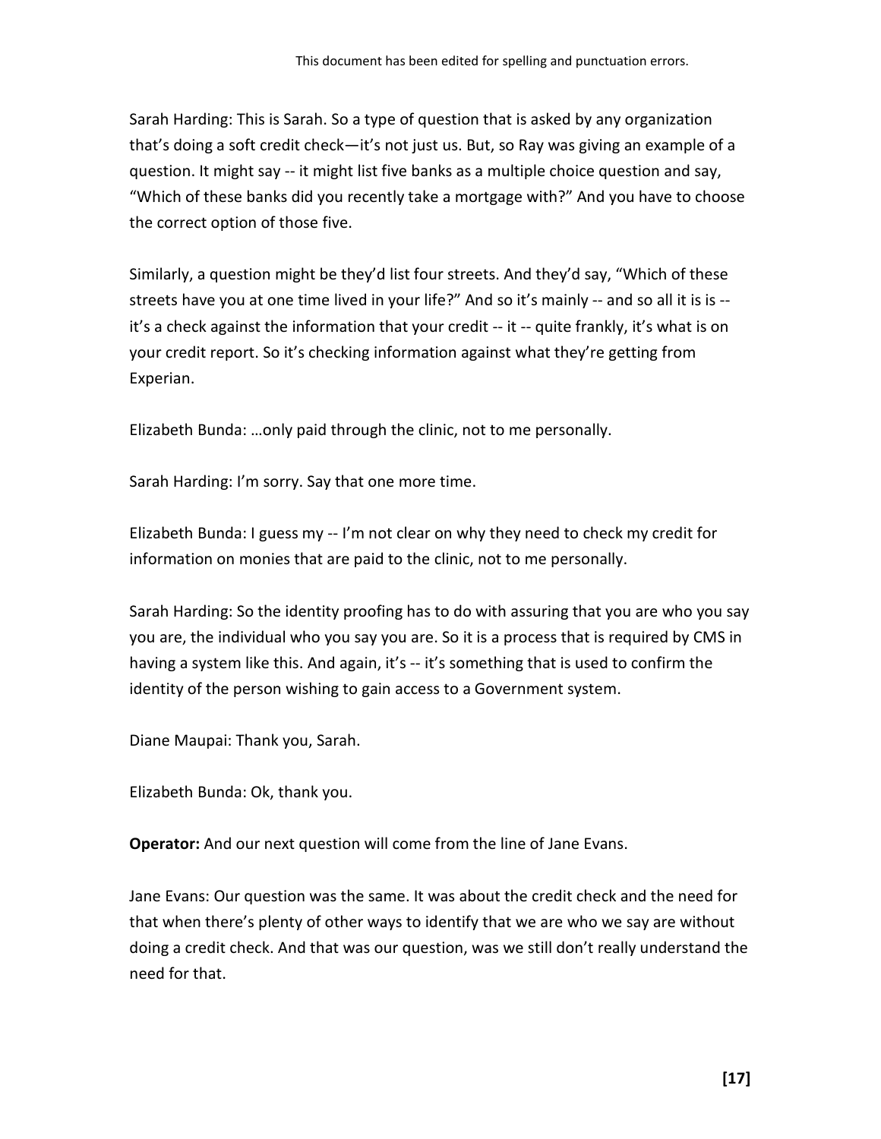Sarah Harding: This is Sarah. So a type of question that is asked by any organization that's doing a soft credit check—it's not just us. But, so Ray was giving an example of a question. It might say -- it might list five banks as a multiple choice question and say, "Which of these banks did you recently take a mortgage with?" And you have to choose the correct option of those five.

Similarly, a question might be they'd list four streets. And they'd say, "Which of these streets have you at one time lived in your life?" And so it's mainly -- and so all it is is - it's a check against the information that your credit -- it -- quite frankly, it's what is on your credit report. So it's checking information against what they're getting from Experian.

Elizabeth Bunda: …only paid through the clinic, not to me personally.

Sarah Harding: I'm sorry. Say that one more time.

Elizabeth Bunda: I guess my -- I'm not clear on why they need to check my credit for information on monies that are paid to the clinic, not to me personally.

Sarah Harding: So the identity proofing has to do with assuring that you are who you say you are, the individual who you say you are. So it is a process that is required by CMS in having a system like this. And again, it's -- it's something that is used to confirm the identity of the person wishing to gain access to a Government system.

Diane Maupai: Thank you, Sarah.

Elizabeth Bunda: Ok, thank you.

**Operator:** And our next question will come from the line of Jane Evans.

Jane Evans: Our question was the same. It was about the credit check and the need for that when there's plenty of other ways to identify that we are who we say are without doing a credit check. And that was our question, was we still don't really understand the need for that.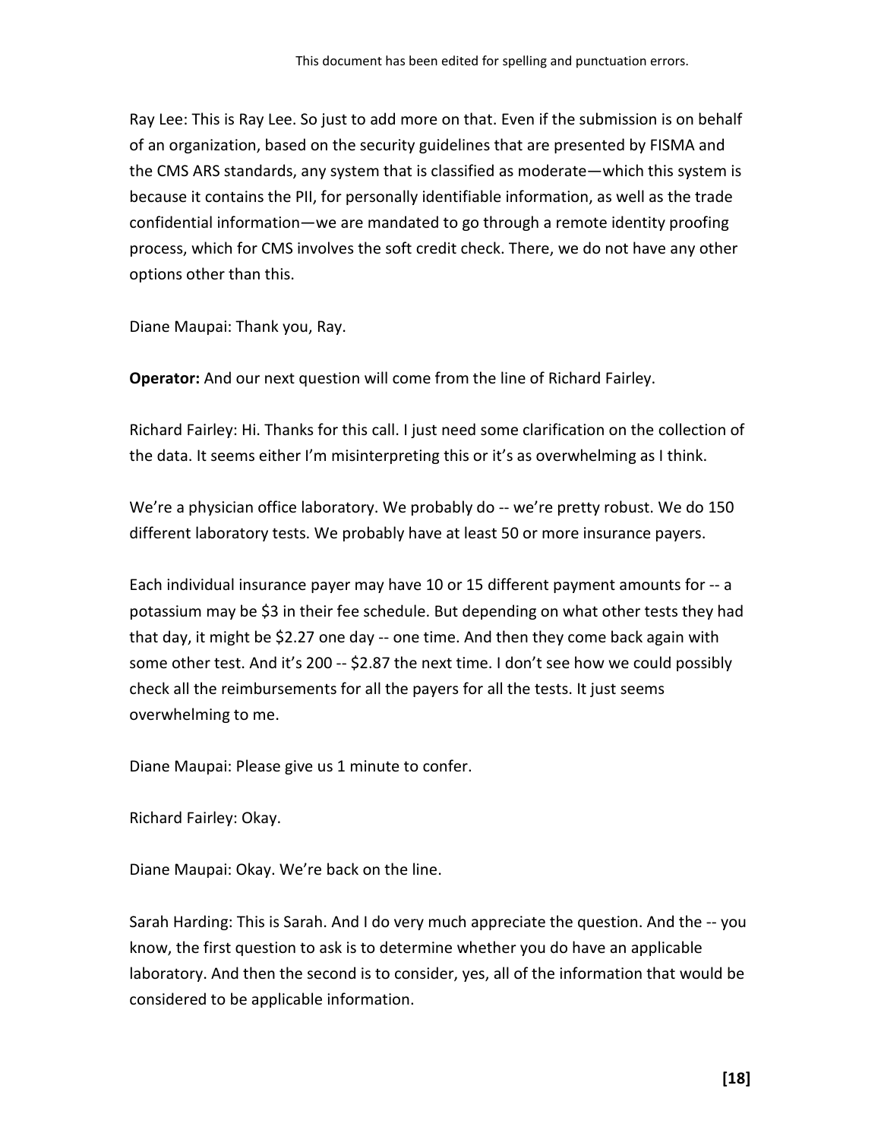Ray Lee: This is Ray Lee. So just to add more on that. Even if the submission is on behalf of an organization, based on the security guidelines that are presented by FISMA and the CMS ARS standards, any system that is classified as moderate—which this system is because it contains the PII, for personally identifiable information, as well as the trade confidential information—we are mandated to go through a remote identity proofing process, which for CMS involves the soft credit check. There, we do not have any other options other than this.

Diane Maupai: Thank you, Ray.

**Operator:** And our next question will come from the line of Richard Fairley.

Richard Fairley: Hi. Thanks for this call. I just need some clarification on the collection of the data. It seems either I'm misinterpreting this or it's as overwhelming as I think.

We're a physician office laboratory. We probably do -- we're pretty robust. We do 150 different laboratory tests. We probably have at least 50 or more insurance payers.

Each individual insurance payer may have 10 or 15 different payment amounts for -- a potassium may be \$3 in their fee schedule. But depending on what other tests they had that day, it might be \$2.27 one day -- one time. And then they come back again with some other test. And it's 200 -- \$2.87 the next time. I don't see how we could possibly check all the reimbursements for all the payers for all the tests. It just seems overwhelming to me.

Diane Maupai: Please give us 1 minute to confer.

Richard Fairley: Okay.

Diane Maupai: Okay. We're back on the line.

Sarah Harding: This is Sarah. And I do very much appreciate the question. And the -- you know, the first question to ask is to determine whether you do have an applicable laboratory. And then the second is to consider, yes, all of the information that would be considered to be applicable information.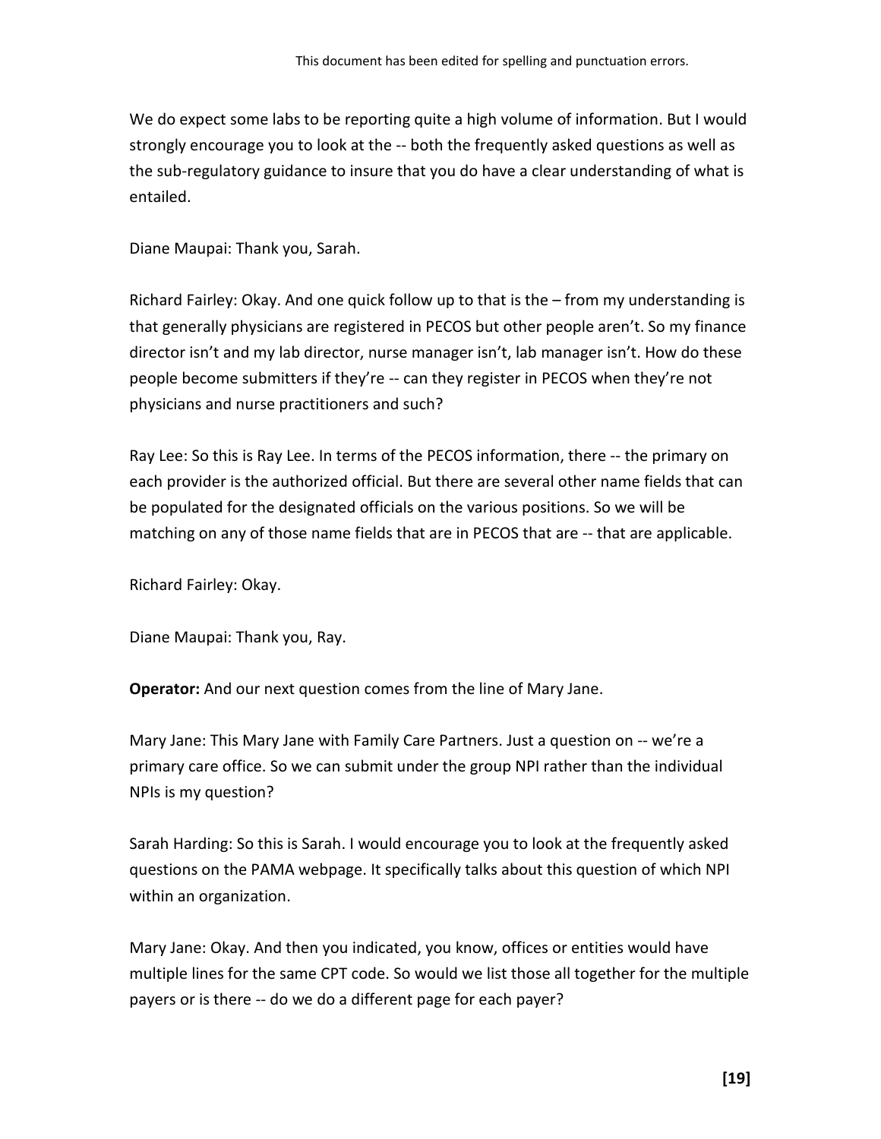We do expect some labs to be reporting quite a high volume of information. But I would strongly encourage you to look at the -- both the frequently asked questions as well as the sub-regulatory guidance to insure that you do have a clear understanding of what is entailed.

Diane Maupai: Thank you, Sarah.

Richard Fairley: Okay. And one quick follow up to that is the – from my understanding is that generally physicians are registered in PECOS but other people aren't. So my finance director isn't and my lab director, nurse manager isn't, lab manager isn't. How do these people become submitters if they're -- can they register in PECOS when they're not physicians and nurse practitioners and such?

Ray Lee: So this is Ray Lee. In terms of the PECOS information, there -- the primary on each provider is the authorized official. But there are several other name fields that can be populated for the designated officials on the various positions. So we will be matching on any of those name fields that are in PECOS that are -- that are applicable.

Richard Fairley: Okay.

Diane Maupai: Thank you, Ray.

**Operator:** And our next question comes from the line of Mary Jane.

Mary Jane: This Mary Jane with Family Care Partners. Just a question on -- we're a primary care office. So we can submit under the group NPI rather than the individual NPIs is my question?

Sarah Harding: So this is Sarah. I would encourage you to look at the frequently asked questions on the PAMA webpage. It specifically talks about this question of which NPI within an organization.

Mary Jane: Okay. And then you indicated, you know, offices or entities would have multiple lines for the same CPT code. So would we list those all together for the multiple payers or is there -- do we do a different page for each payer?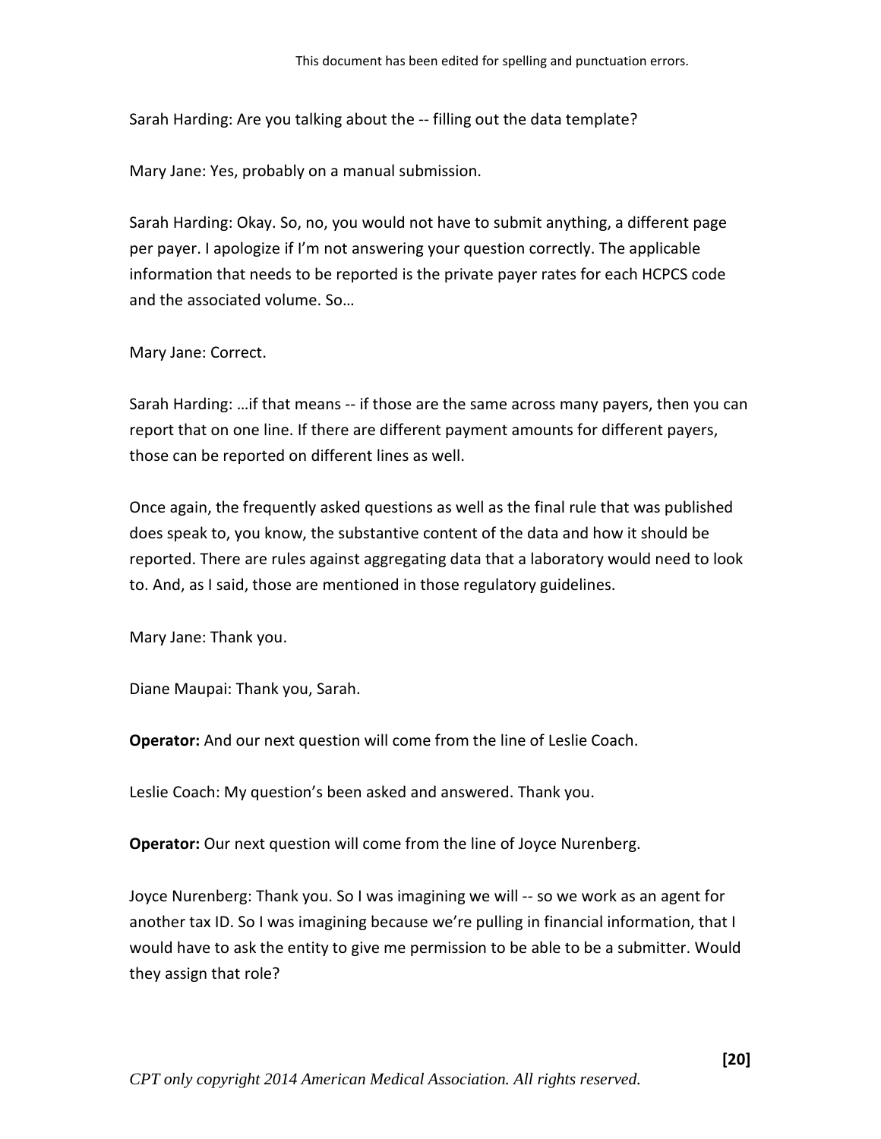Sarah Harding: Are you talking about the -- filling out the data template?

Mary Jane: Yes, probably on a manual submission.

Sarah Harding: Okay. So, no, you would not have to submit anything, a different page per payer. I apologize if I'm not answering your question correctly. The applicable information that needs to be reported is the private payer rates for each HCPCS code and the associated volume. So…

#### Mary Jane: Correct.

Sarah Harding: …if that means -- if those are the same across many payers, then you can report that on one line. If there are different payment amounts for different payers, those can be reported on different lines as well.

Once again, the frequently asked questions as well as the final rule that was published does speak to, you know, the substantive content of the data and how it should be reported. There are rules against aggregating data that a laboratory would need to look to. And, as I said, those are mentioned in those regulatory guidelines.

Mary Jane: Thank you.

Diane Maupai: Thank you, Sarah.

**Operator:** And our next question will come from the line of Leslie Coach.

Leslie Coach: My question's been asked and answered. Thank you.

**Operator:** Our next question will come from the line of Joyce Nurenberg.

Joyce Nurenberg: Thank you. So I was imagining we will -- so we work as an agent for another tax ID. So I was imagining because we're pulling in financial information, that I would have to ask the entity to give me permission to be able to be a submitter. Would they assign that role?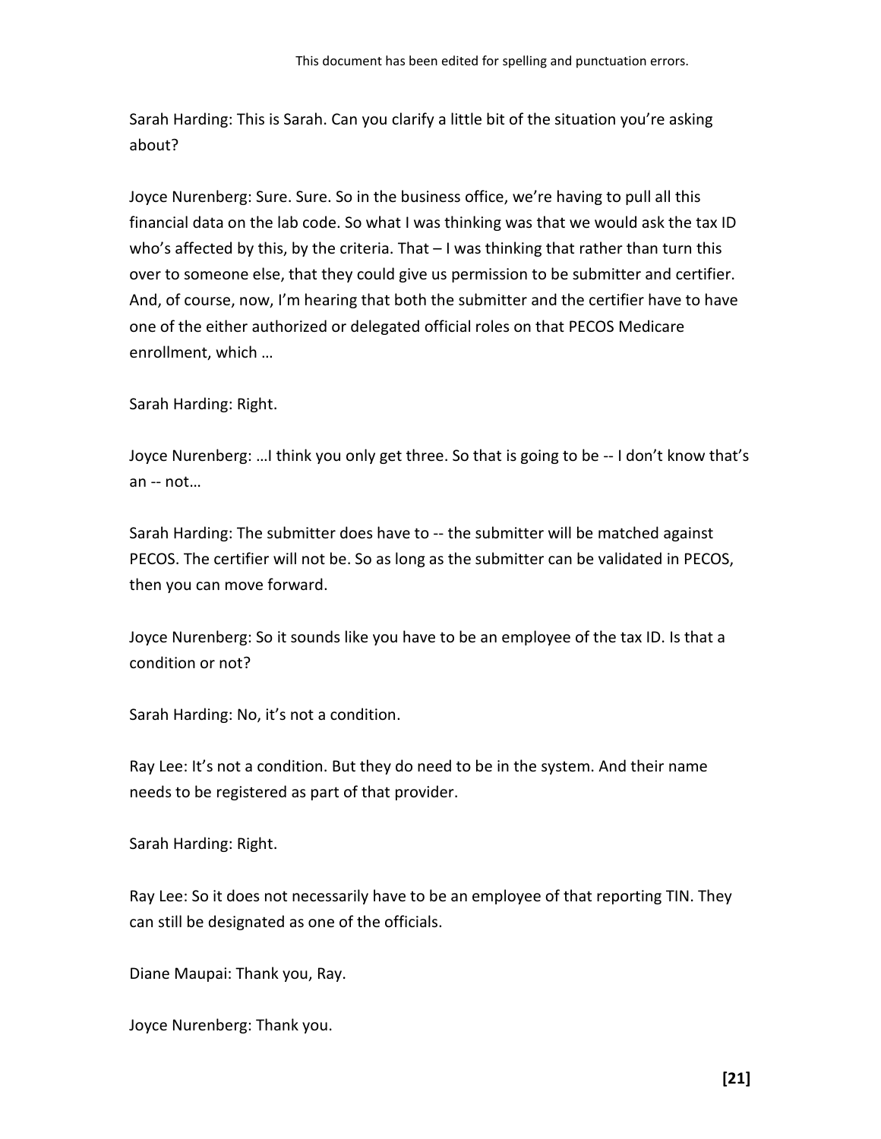Sarah Harding: This is Sarah. Can you clarify a little bit of the situation you're asking about?

Joyce Nurenberg: Sure. Sure. So in the business office, we're having to pull all this financial data on the lab code. So what I was thinking was that we would ask the tax ID who's affected by this, by the criteria. That – I was thinking that rather than turn this over to someone else, that they could give us permission to be submitter and certifier. And, of course, now, I'm hearing that both the submitter and the certifier have to have one of the either authorized or delegated official roles on that PECOS Medicare enrollment, which …

Sarah Harding: Right.

Joyce Nurenberg: …I think you only get three. So that is going to be -- I don't know that's an -- not…

Sarah Harding: The submitter does have to -- the submitter will be matched against PECOS. The certifier will not be. So as long as the submitter can be validated in PECOS, then you can move forward.

Joyce Nurenberg: So it sounds like you have to be an employee of the tax ID. Is that a condition or not?

Sarah Harding: No, it's not a condition.

Ray Lee: It's not a condition. But they do need to be in the system. And their name needs to be registered as part of that provider.

Sarah Harding: Right.

Ray Lee: So it does not necessarily have to be an employee of that reporting TIN. They can still be designated as one of the officials.

Diane Maupai: Thank you, Ray.

Joyce Nurenberg: Thank you.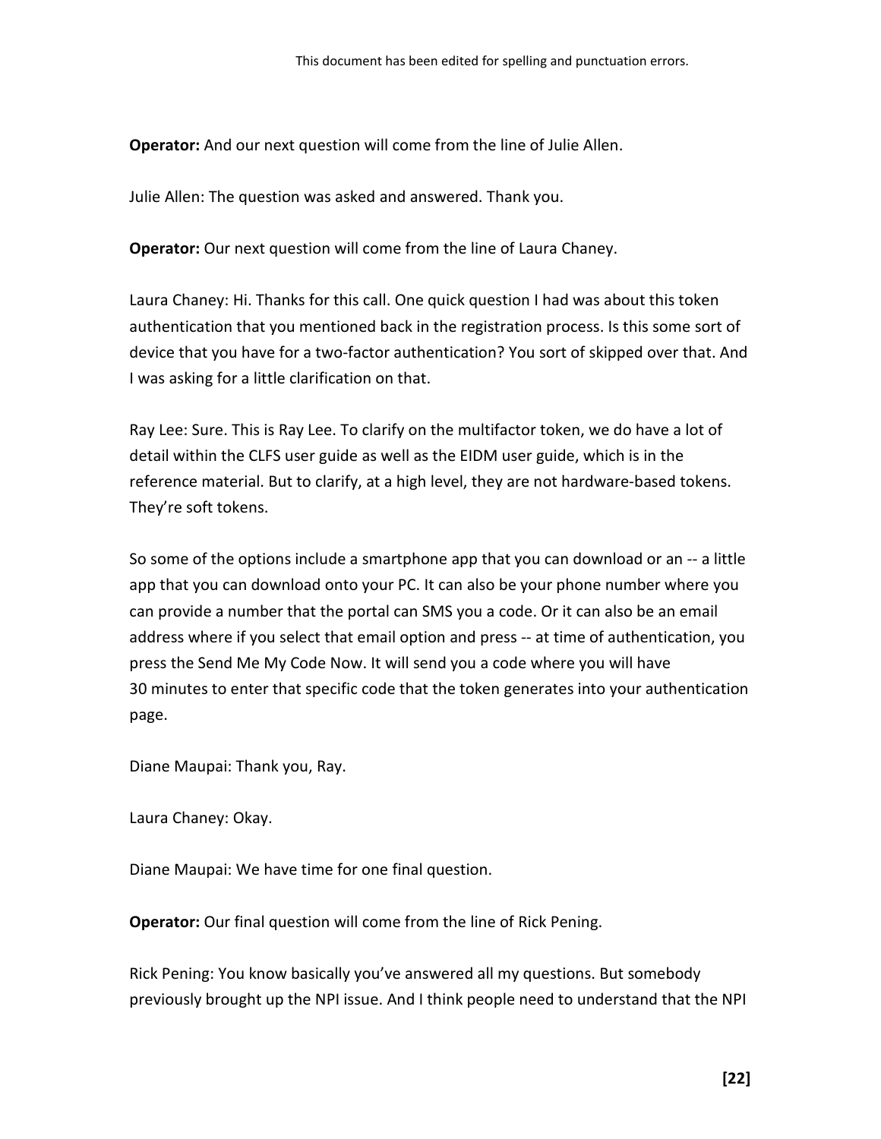**Operator:** And our next question will come from the line of Julie Allen.

Julie Allen: The question was asked and answered. Thank you.

**Operator:** Our next question will come from the line of Laura Chaney.

Laura Chaney: Hi. Thanks for this call. One quick question I had was about this token authentication that you mentioned back in the registration process. Is this some sort of device that you have for a two-factor authentication? You sort of skipped over that. And I was asking for a little clarification on that.

Ray Lee: Sure. This is Ray Lee. To clarify on the multifactor token, we do have a lot of detail within the CLFS user guide as well as the EIDM user guide, which is in the reference material. But to clarify, at a high level, they are not hardware-based tokens. They're soft tokens.

So some of the options include a smartphone app that you can download or an -- a little app that you can download onto your PC. It can also be your phone number where you can provide a number that the portal can SMS you a code. Or it can also be an email address where if you select that email option and press -- at time of authentication, you press the Send Me My Code Now. It will send you a code where you will have 30 minutes to enter that specific code that the token generates into your authentication page.

Diane Maupai: Thank you, Ray.

Laura Chaney: Okay.

Diane Maupai: We have time for one final question.

**Operator:** Our final question will come from the line of Rick Pening.

Rick Pening: You know basically you've answered all my questions. But somebody previously brought up the NPI issue. And I think people need to understand that the NPI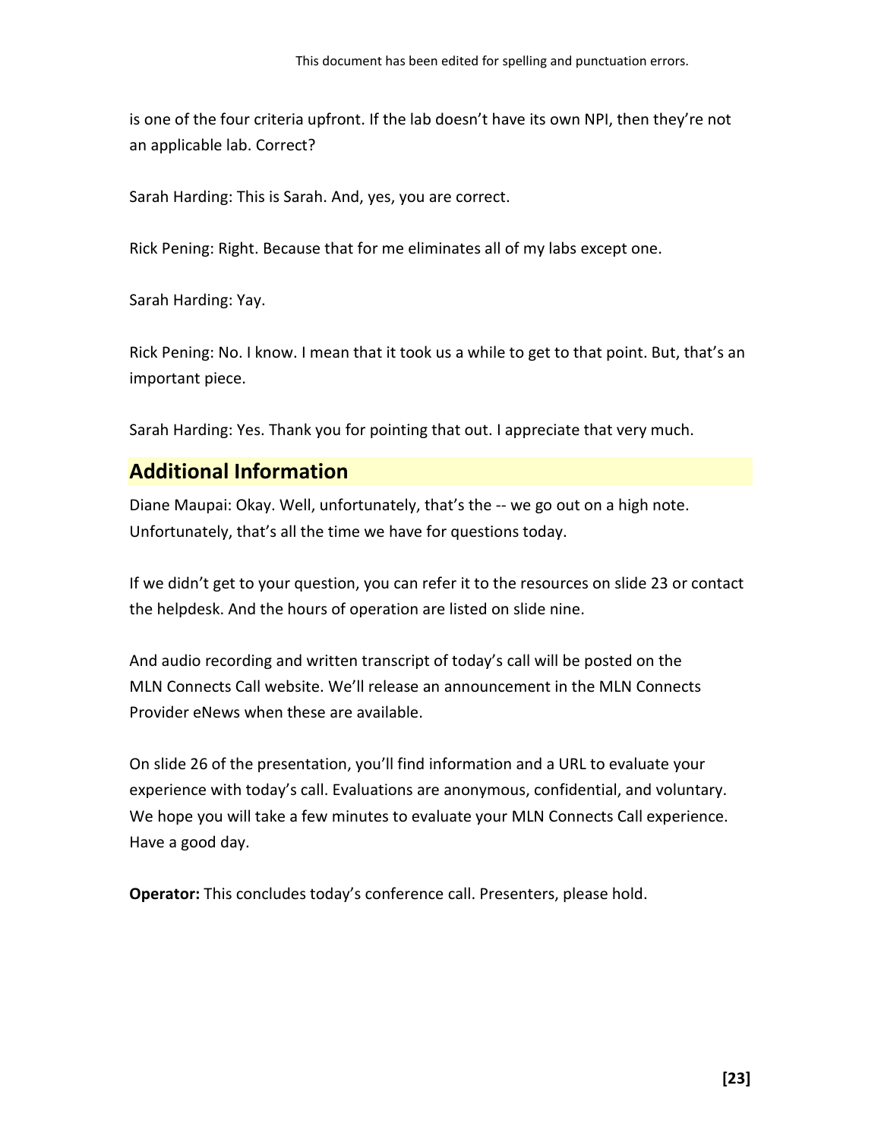is one of the four criteria upfront. If the lab doesn't have its own NPI, then they're not an applicable lab. Correct?

Sarah Harding: This is Sarah. And, yes, you are correct.

Rick Pening: Right. Because that for me eliminates all of my labs except one.

Sarah Harding: Yay.

Rick Pening: No. I know. I mean that it took us a while to get to that point. But, that's an important piece.

<span id="page-22-0"></span>Sarah Harding: Yes. Thank you for pointing that out. I appreciate that very much.

# **Additional Information**

Diane Maupai: Okay. Well, unfortunately, that's the -- we go out on a high note. Unfortunately, that's all the time we have for questions today.

If we didn't get to your question, you can refer it to the resources on slide 23 or contact the helpdesk. And the hours of operation are listed on slide nine.

And audio recording and written transcript of today's call will be posted on the MLN Connects Call website. We'll release an announcement in the MLN Connects Provider eNews when these are available.

On slide 26 of the presentation, you'll find information and a URL to evaluate your experience with today's call. Evaluations are anonymous, confidential, and voluntary. We hope you will take a few minutes to evaluate your MLN Connects Call experience. Have a good day.

**Operator:** This concludes today's conference call. Presenters, please hold.